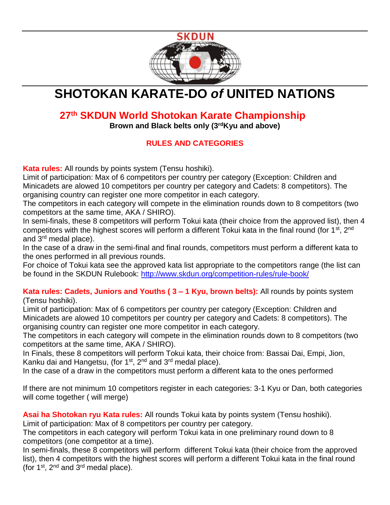

# **SHOTOKAN KARATE-DO** *of* **UNITED NATIONS**

# **27th SKDUN World Shotokan Karate Championship**

**Brown and Black belts only (3rdKyu and above)**

### **RULES AND CATEGORIES**

**Kata rules:** All rounds by points system (Tensu hoshiki).

Limit of participation: Max of 6 competitors per country per category (Exception: Children and Minicadets are alowed 10 competitors per country per category and Cadets: 8 competitors). The organising country can register one more competitor in each category.

The competitors in each category will compete in the elimination rounds down to 8 competitors (two competitors at the same time, AKA / SHIRO).

In semi-finals, these 8 competitors will perform Tokui kata (their choice from the approved list), then 4 competitors with the highest scores will perform a different Tokui kata in the final round (for 1<sup>st</sup>, 2<sup>nd</sup>) and 3<sup>rd</sup> medal place).

In the case of a draw in the semi-final and final rounds, competitors must perform a different kata to the ones performed in all previous rounds.

For choice of Tokui kata see the approved kata list appropriate to the competitors range (the list can be found in the SKDUN Rulebook:<http://www.skdun.org/competition-rules/rule-book/>

**Kata rules: Cadets, Juniors and Youths ( 3 – 1 Kyu, brown belts):** All rounds by points system (Tensu hoshiki).

Limit of participation: Max of 6 competitors per country per category (Exception: Children and Minicadets are alowed 10 competitors per country per category and Cadets: 8 competitors). The organising country can register one more competitor in each category.

The competitors in each category will compete in the elimination rounds down to 8 competitors (two competitors at the same time, AKA / SHIRO).

In Finals, these 8 competitors will perform Tokui kata, their choice from: Bassai Dai, Empi, Jion, Kanku dai and Hangetsu, (for  $1<sup>st</sup>$ ,  $2<sup>nd</sup>$  and  $3<sup>rd</sup>$  medal place).

In the case of a draw in the competitors must perform a different kata to the ones performed

If there are not minimum 10 competitors register in each categories: 3-1 Kyu or Dan, both categories will come together ( will merge)

**Asai ha Shotokan ryu Kata rules:** All rounds Tokui kata by points system (Tensu hoshiki). Limit of participation: Max of 8 competitors per country per category.

The competitors in each category will perform Tokui kata in one preliminary round down to 8 competitors (one competitor at a time).

In semi-finals, these 8 competitors will perform different Tokui kata (their choice from the approved list), then 4 competitors with the highest scores will perform a different Tokui kata in the final round (for  $1^{st}$ ,  $2^{nd}$  and  $3^{rd}$  medal place).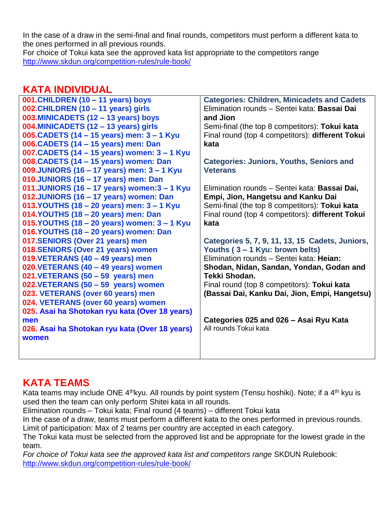In the case of a draw in the semi-final and final rounds, competitors must perform a different kata to the ones performed in all previous rounds.

For choice of Tokui kata see the approved kata list appropriate to the competitors range <http://www.skdun.org/competition-rules/rule-book/>

# **KATA INDIVIDUAL**

| 001. CHILDREN (10 - 11 years) boys             | <b>Categories: Children, Minicadets and Cadets</b> |
|------------------------------------------------|----------------------------------------------------|
| 002. CHILDREN (10 - 11 years) girls            | Elimination rounds - Sentei kata: Bassai Dai       |
| 003.MINICADETS (12 - 13 years) boys            | and Jion                                           |
| 004.MINICADETS (12 - 13 years) girls           | Semi-final (the top 8 competitors): Tokui kata     |
| 005. CADETS (14 - 15 years) men: 3 - 1 Kyu     | Final round (top 4 competitors): different Tokui   |
| 006. CADETS (14 - 15 years) men: Dan           | kata                                               |
| 007. CADETS (14 - 15 years) women: 3 - 1 Kyu   |                                                    |
| 008. CADETS (14 - 15 years) women: Dan         | <b>Categories: Juniors, Youths, Seniors and</b>    |
| 009.JUNIORS (16 - 17 years) men: 3 - 1 Kyu     | <b>Veterans</b>                                    |
| 010.JUNIORS (16 - 17 years) men: Dan           |                                                    |
| 011.JUNIORS (16 - 17 years) women: $3 - 1$ Kyu | Elimination rounds - Sentei kata: Bassai Dai,      |
| 012.JUNIORS (16 - 17 years) women: Dan         | Empi, Jion, Hangetsu and Kanku Dai                 |
| 013. YOUTHS (18 - 20 years) men: 3 - 1 Kyu     | Semi-final (the top 8 competitors): Tokui kata     |
| 014.YOUTHS (18 - 20 years) men: Dan            | Final round (top 4 competitors): different Tokui   |
| 015. YOUTHS (18 – 20 years) women: 3 – 1 Kyu   | kata                                               |
| 016.YOUTHS (18 - 20 years) women: Dan          |                                                    |
| 017.SENIORS (Over 21 years) men                | Categories 5, 7, 9, 11, 13, 15 Cadets, Juniors,    |
| 018.SENIORS (Over 21 years) women              | Youths (3 – 1 Kyu: brown belts)                    |
| 019.VETERANS (40 - 49 years) men               | Elimination rounds - Sentei kata: Heian:           |
| 020.VETERANS (40 - 49 years) women             | Shodan, Nidan, Sandan, Yondan, Godan and           |
| 021.VETERANS (50 - 59 years) men               | Tekki Shodan.                                      |
| 022.VETERANS (50 - 59 years) women             | Final round (top 8 competitors): Tokui kata        |
| 023. VETERANS (over 60 years) men              | (Bassai Dai, Kanku Dai, Jion, Empi, Hangetsu)      |
| 024. VETERANS (over 60 years) women            |                                                    |
| 025. Asai ha Shotokan ryu kata (Over 18 years) |                                                    |
| men                                            | Categories 025 and 026 - Asai Ryu Kata             |
| 026. Asai ha Shotokan ryu kata (Over 18 years) | All rounds Tokui kata                              |
| women                                          |                                                    |
|                                                |                                                    |

# **KATA TEAMS**

Kata teams may include ONE 4<sup>th</sup>kyu. All rounds by point system (Tensu hoshiki). Note; if a 4<sup>th</sup> kyu is used then the team can only perform Shitei kata in all rounds.

Elimination rounds – Tokui kata; Final round (4 teams) – different Tokui kata

In the case of a draw, teams must perform a different kata to the ones performed in previous rounds. Limit of participation: Max of 2 teams per country are accepted in each category.

The Tokui kata must be selected from the approved list and be appropriate for the lowest grade in the team.

For choice of Tokui kata see the approved kata list and competitors range SKDUN Rulebook: <http://www.skdun.org/competition-rules/rule-book/>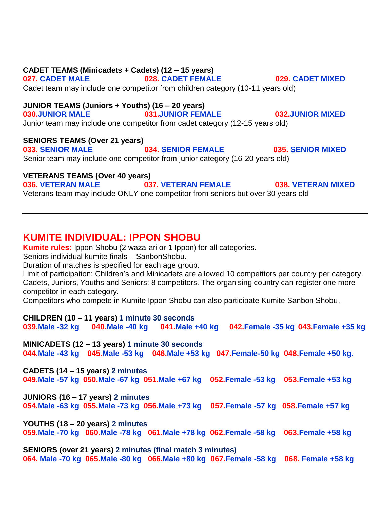### **CADET TEAMS (Minicadets + Cadets) (12 – 15 years) 027. CADET MALE 028. CADET FEMALE 029. CADET MIXED** Cadet team may include one competitor from children category (10-11 years old) **JUNIOR TEAMS (Juniors + Youths) (16 – 20 years) 030.JUNIOR MALE 031.JUNIOR FEMALE 032.JUNIOR MIXED** Junior team may include one competitor from cadet category (12-15 years old) **SENIORS TEAMS (Over 21 years) 033. SENIOR MALE 034. SENIOR FEMALE 035. SENIOR MIXED** Senior team may include one competitor from junior category (16-20 years old) **VETERANS TEAMS (Over 40 years) 036. VETERAN MALE 037. VETERAN FEMALE 038. VETERAN MIXED**

Veterans team may include ONLY one competitor from seniors but over 30 years old

### **KUMITE INDIVIDUAL: IPPON SHOBU**

**Kumite rules:** Ippon Shobu (2 waza-ari or 1 Ippon) for all categories.

Seniors individual kumite finals – SanbonShobu.

Duration of matches is specified for each age group.

Limit of participation: Children's and Minicadets are allowed 10 competitors per country per category. Cadets, Juniors, Youths and Seniors: 8 competitors. The organising country can register one more competitor in each category.

Competitors who compete in Kumite Ippon Shobu can also participate Kumite Sanbon Shobu.

**CHILDREN (10 – 11 years) 1 minute 30 seconds 039.Male -32 kg 040.Male -40 kg 041.Male +40 kg 042.Female -35 kg 043.Female +35 kg**

**MINICADETS (12 – 13 years) 1 minute 30 seconds 044.Male -43 kg 045.Male -53 kg 046.Male +53 kg 047.Female-50 kg 048.Female +50 kg.** 

**CADETS (14 – 15 years) 2 minutes 049.Male -57 kg 050.Male -67 kg 051.Male +67 kg 052.Female -53 kg 053.Female +53 kg** 

**JUNIORS (16 – 17 years) 2 minutes 054.Male -63 kg 055.Male -73 kg 056.Male +73 kg 057.Female -57 kg 058.Female +57 kg**

**YOUTHS (18 – 20 years) 2 minutes 059.Male -70 kg 060.Male -78 kg 061.Male +78 kg 062.Female -58 kg 063.Female +58 kg**

**SENIORS (over 21 years) 2 minutes (final match 3 minutes) 064. Male -70 kg 065.Male -80 kg 066.Male +80 kg 067.Female -58 kg 068. Female +58 kg**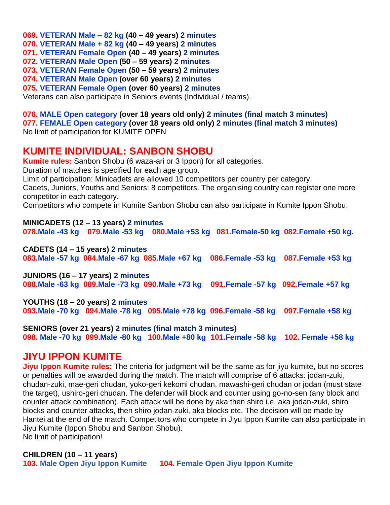**069. VETERAN Male – 82 kg (40 – 49 years) 2 minutes 070. VETERAN Male + 82 kg (40 – 49 years) 2 minutes 071. VETERAN Female Open (40 – 49 years) 2 minutes 072. VETERAN Male Open (50 – 59 years) 2 minutes 073. VETERAN Female Open (50 – 59 years) 2 minutes 074. VETERAN Male Open (over 60 years) 2 minutes 075. VETERAN Female Open (over 60 years) 2 minutes** Veterans can also participate in Seniors events (Individual / teams).

**076. MALE Open category (over 18 years old only) 2 minutes (final match 3 minutes) 077. FEMALE Open category (over 18 years old only) 2 minutes (final match 3 minutes)** No limit of participation for KUMITE OPEN

# **KUMITE INDIVIDUAL: SANBON SHOBU**

**Kumite rules:** Sanbon Shobu (6 waza-ari or 3 Ippon) for all categories.

Duration of matches is specified for each age group.

Limit of participation: Minicadets are allowed 10 competitors per country per category.

Cadets, Juniors, Youths and Seniors: 8 competitors. The organising country can register one more competitor in each category.

Competitors who compete in Kumite Sanbon Shobu can also participate in Kumite Ippon Shobu.

**MINICADETS (12 – 13 years) 2 minutes 078.Male -43 kg 079.Male -53 kg 080.Male +53 kg 081.Female-50 kg 082.Female +50 kg.** 

**CADETS (14 – 15 years) 2 minutes 083.Male -57 kg 084.Male -67 kg 085.Male +67 kg 086.Female -53 kg 087.Female +53 kg** 

**JUNIORS (16 – 17 years) 2 minutes 088.Male -63 kg 089.Male -73 kg 090.Male +73 kg 091.Female -57 kg 092.Female +57 kg**

**YOUTHS (18 – 20 years) 2 minutes 093.Male -70 kg 094.Male -78 kg 095.Male +78 kg 096.Female -58 kg 097.Female +58 kg**

**SENIORS (over 21 years) 2 minutes (final match 3 minutes) 098. Male -70 kg 099.Male -80 kg 100.Male +80 kg 101.Female -58 kg 102. Female +58 kg**

### **JIYU IPPON KUMITE**

**Jiyu Ippon Kumite rules:** The criteria for judgment will be the same as for jiyu kumite, but no scores or penalties will be awarded during the match. The match will comprise of 6 attacks: jodan-zuki, chudan-zuki, mae-geri chudan, yoko-geri kekomi chudan, mawashi-geri chudan or jodan (must state the target), ushiro-geri chudan. The defender will block and counter using go-no-sen (any block and counter attack combination). Each attack will be done by aka then shiro i.e. aka jodan-zuki, shiro blocks and counter attacks, then shiro jodan-zuki, aka blocks etc. The decision will be made by Hantei at the end of the match. Competitors who compete in Jiyu Ippon Kumite can also participate in Jiyu Kumite (Ippon Shobu and Sanbon Shobu). No limit of participation!

**CHILDREN (10 – 11 years)** 

**103. Male Open Jiyu Ippon Kumite 104. Female Open Jiyu Ippon Kumite**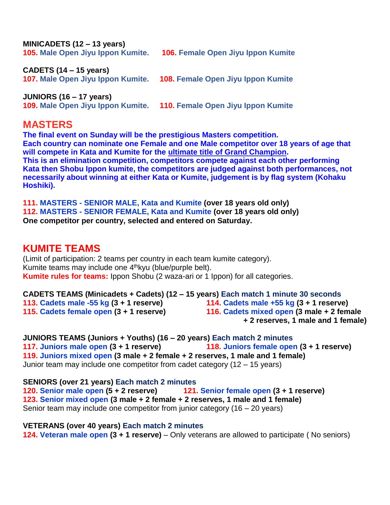| MINICADETS $(12 - 13 \text{ years})$<br>105. Male Open Jiyu Ippon Kumite. | <b>106. Female Open Jiyu Ippon Kumite</b> |
|---------------------------------------------------------------------------|-------------------------------------------|
| <b>CADETS (14 – 15 years)</b><br>107. Male Open Jiyu Ippon Kumite.        | 108. Female Open Jiyu Ippon Kumite        |
| JUNIORS $(16 - 17$ years)<br>109. Male Open Jiyu Ippon Kumite.            | 110. Female Open Jiyu Ippon Kumite        |

### **MASTERS**

**The final event on Sunday will be the prestigious Masters competition. Each country can nominate one Female and one Male competitor over 18 years of age that will compete in Kata and Kumite for the ultimate title of Grand Champion. This is an elimination competition, competitors compete against each other performing Kata then Shobu Ippon kumite, the competitors are judged against both performances, not necessarily about winning at either Kata or Kumite, judgement is by flag system (Kohaku Hoshiki).** 

**111. MASTERS - SENIOR MALE, Kata and Kumite (over 18 years old only) 112. MASTERS - SENIOR FEMALE, Kata and Kumite (over 18 years old only) One competitor per country, selected and entered on Saturday.**

## **KUMITE TEAMS**

(Limit of participation: 2 teams per country in each team kumite category). Kumite teams may include one 4<sup>th</sup>kyu (blue/purple belt). **Kumite rules for teams:** Ippon Shobu (2 waza-ari or 1 Ippon) for all categories.

**CADETS TEAMS (Minicadets + Cadets) (12 – 15 years) Each match 1 minute 30 seconds 113. Cadets male -55 kg (3 + 1 reserve) 114. Cadets male +55 kg (3 + 1 reserve) 115. Cadets female open (3 + 1 reserve) 116. Cadets mixed open (3 male + 2 female + 2 reserves, 1 male and 1 female)**

**JUNIORS TEAMS (Juniors + Youths) (16 – 20 years) Each match 2 minutes 117. Juniors male open (3 + 1 reserve) 118. Juniors female open (3 + 1 reserve) 119. Juniors mixed open (3 male + 2 female + 2 reserves, 1 male and 1 female)** Junior team may include one competitor from cadet category (12 – 15 years)

**SENIORS (over 21 years) Each match 2 minutes 120. Senior male open (5 + 2 reserve) 121. Senior female open (3 + 1 reserve) 123. Senior mixed open (3 male + 2 female + 2 reserves, 1 male and 1 female)** Senior team may include one competitor from junior category (16 – 20 years)

**VETERANS (over 40 years) Each match 2 minutes 124. Veteran male open (3 + 1 reserve)** – Only veterans are allowed to participate ( No seniors)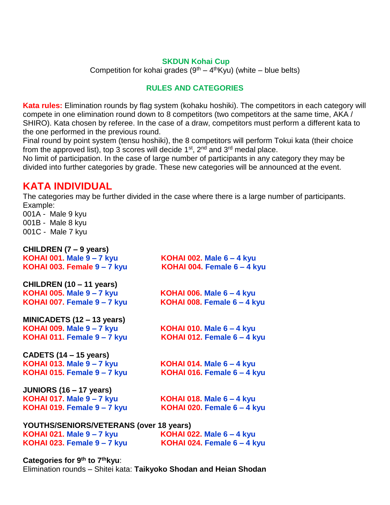#### **SKDUN Kohai Cup**

Competition for kohai grades  $(9<sup>th</sup> - 4<sup>th</sup>Kyu)$  (white – blue belts)

### **RULES AND CATEGORIES**

**Kata rules:** Elimination rounds by flag system (kohaku hoshiki). The competitors in each category will compete in one elimination round down to 8 competitors (two competitors at the same time, AKA / SHIRO). Kata chosen by referee. In the case of a draw, competitors must perform a different kata to the one performed in the previous round.

Final round by point system (tensu hoshiki), the 8 competitors will perform Tokui kata (their choice from the approved list), top 3 scores will decide  $1<sup>st</sup>$ , 2<sup>nd</sup> and  $3<sup>rd</sup>$  medal place.

No limit of participation. In the case of large number of participants in any category they may be divided into further categories by grade. These new categories will be announced at the event.

# **KATA INDIVIDUAL**

The categories may be further divided in the case where there is a large number of participants. Example:

001A - Male 9 kyu 001B - Male 8 kyu 001C - Male 7 kyu

| CHILDREN (7 – 9 years)                  |                                  |
|-----------------------------------------|----------------------------------|
| <b>KOHAI 001. Male 9 - 7 kyu</b>        | KOHAI 002. Male $6 - 4$ kyu      |
| KOHAI 003. Female 9 - 7 kyu             | KOHAI 004. Female 6 - 4 kyu      |
| CHILDREN (10 – 11 years)                |                                  |
| <b>KOHAI 005. Male 9 - 7 kyu</b>        | KOHAI 006. Male $6 - 4$ kyu      |
| KOHAI 007. Female 9 - 7 kyu             | KOHAI 008. Female 6 - 4 kyu      |
| MINICADETS (12 – 13 years)              |                                  |
| <b>KOHAI 009. Male 9-7 kyu</b>          | KOHAI 010. Male $6 - 4$ kyu      |
| KOHAI 011. Female 9 - 7 kyu             | KOHAI 012. Female 6 - 4 kyu      |
| CADETS (14 – 15 years)                  |                                  |
| <b>KOHAI 013. Male 9 - 7 kyu</b>        | <b>KOHAI 014. Male 6 - 4 kyu</b> |
| KOHAI 015. Female 9 - 7 kyu             | KOHAI 016. Female 6 - 4 kyu      |
| JUNIORS (16 – 17 years)                 |                                  |
| <b>KOHAI 017. Male 9 - 7 kyu</b>        | KOHAI 018. Male $6 - 4$ kyu      |
| KOHAI 019. Female 9 - 7 kyu             | KOHAI 020. Female 6 - 4 kyu      |
| YOUTHS/SENIORS/VETERANS (over 18 years) |                                  |
| <b>KOHAI 021. Male 9-7 kyu</b>          | KOHAI 022. Male $6 - 4$ kyu      |
|                                         |                                  |

**KOHAI 023. Female 9 – 7 kyu KOHAI 024. Female 6 – 4 kyu**

**Categories for 9th to 7thkyu**:

Elimination rounds – Shitei kata: **Taikyoko Shodan and Heian Shodan**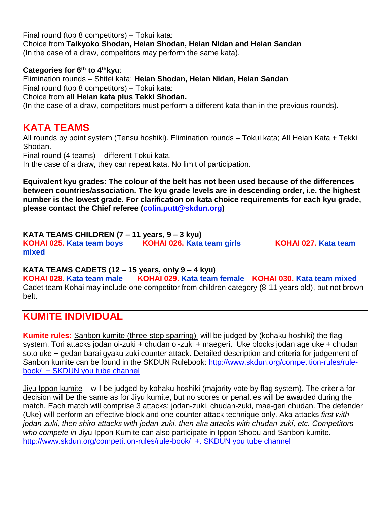Final round (top 8 competitors) – Tokui kata: Choice from **Taikyoko Shodan, Heian Shodan, Heian Nidan and Heian Sandan** (In the case of a draw, competitors may perform the same kata).

#### **Categories for 6th to 4thkyu**:

Elimination rounds – Shitei kata: **Heian Shodan, Heian Nidan, Heian Sandan** Final round (top 8 competitors) – Tokui kata:

Choice from **all Heian kata plus Tekki Shodan.**

(In the case of a draw, competitors must perform a different kata than in the previous rounds).

### **KATA TEAMS**

All rounds by point system (Tensu hoshiki). Elimination rounds – Tokui kata; All Heian Kata + Tekki Shodan.

Final round (4 teams) – different Tokui kata.

In the case of a draw, they can repeat kata. No limit of participation.

**Equivalent kyu grades: The colour of the belt has not been used because of the differences between countries/association. The kyu grade levels are in descending order, i.e. the highest number is the lowest grade. For clarification on kata choice requirements for each kyu grade, please contact the Chief referee [\(colin.putt@skdun.org\)](mailto:colin.putt@skdun.org)**

**KATA TEAMS CHILDREN (7 – 11 years, 9 – 3 kyu) KOHAI 025. Kata team boys KOHAI 026. Kata team girls KOHAI 027. Kata team mixed**

#### **KATA TEAMS CADETS (12 – 15 years, only 9 – 4 kyu)**

**KOHAI 028. Kata team male KOHAI 029. Kata team female KOHAI 030. Kata team mixed** Cadet team Kohai may include one competitor from children category (8-11 years old), but not brown belt.

# **KUMITE INDIVIDUAL**

**Kumite rules:** Sanbon kumite (three-step sparring) will be judged by (kohaku hoshiki) the flag system. Tori attacks jodan oi-zuki + chudan oi-zuki + maegeri. Uke blocks jodan age uke + chudan soto uke + gedan barai gyaku zuki counter attack. Detailed description and criteria for judgement of Sanbon kumite can be found in the SKDUN Rulebook: [http://www.skdun.org/competition-rules/rule](http://www.skdun.org/competition-rules/rule-book/)[book/](http://www.skdun.org/competition-rules/rule-book/) + SKDUN you tube channel

Jiyu Ippon kumite – will be judged by kohaku hoshiki (majority vote by flag system). The criteria for decision will be the same as for Jiyu kumite, but no scores or penalties will be awarded during the match. Each match will comprise 3 attacks: jodan-zuki, chudan-zuki, mae-geri chudan. The defender (Uke) will perform an effective block and one counter attack technique only. Aka attacks *first with jodan-zuki, then shiro attacks with jodan-zuki, then aka attacks with chudan-zuki, etc. Competitors who compete in* Jiyu Ippon Kumite can also participate in Ippon Shobu and Sanbon kumite. <http://www.skdun.org/competition-rules/rule-book/>+. SKDUN you tube channel